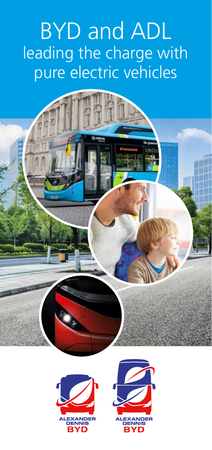# BYD and ADL leading the charge with pure electric vehicles

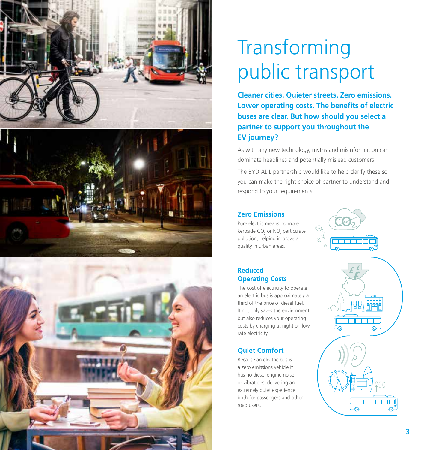





# **Transforming** public transport

**Cleaner cities. Quieter streets. Zero emissions. Lower operating costs. The benefits of electric buses are clear. But how should you select a partner to support you throughout the EV journey?**

As with any new technology, myths and misinformation can dominate headlines and potentially mislead customers.

The BYD ADL partnership would like to help clarify these so you can make the right choice of partner to understand and respond to your requirements.

#### **Zero Emissions**

Pure electric means no more kerbside  $CO_2$  or NO<sub>x</sub> particulate pollution, helping improve air quality in urban areas.



#### **Reduced Operating Costs**

The cost of electricity to operate an electric bus is approximately a third of the price of diesel fuel. It not only saves the environment, but also reduces your operating costs by charging at night on low rate electricity.

#### **Quiet Comfort**

Because an electric bus is a zero emissions vehicle it has no diesel engine noise or vibrations, delivering an extremely quiet experience both for passengers and other road users.

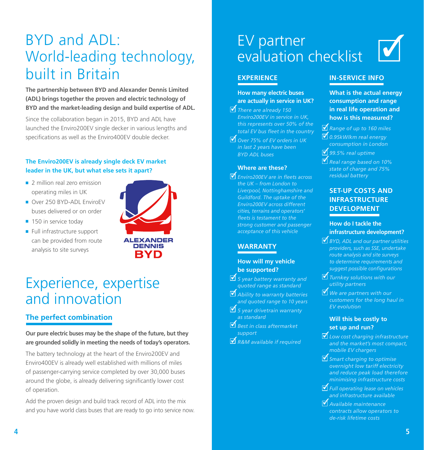## BYD and ADL: World-leading technology, built in Britain

**The partnership between BYD and Alexander Dennis Limited (ADL) brings together the proven and electric technology of BYD and the market-leading design and build expertise of ADL.**

Since the collaboration began in 2015, BYD and ADL have launched the Enviro200EV single decker in various lengths and specifications as well as the Enviro400EV double decker.

#### **The Enviro200EV is already single deck EV market leader in the UK, but what else sets it apart?**

- 2 million real zero emission operating miles in UK
- Over 250 BYD-ADL EnviroEV buses delivered or on order
- 150 in service today
- Full infrastructure support can be provided from route analysis to site surveys



### Experience, expertise and innovation

### **The perfect combination**

**Our pure electric buses may be the shape of the future, but they are grounded solidly in meeting the needs of today's operators.**

The battery technology at the heart of the Enviro200EV and Enviro400EV is already well established with millions of miles of passenger-carrying service completed by over 30,000 buses around the globe, is already delivering significantly lower cost of operation.

Add the proven design and build track record of ADL into the mix and you have world class buses that are ready to go into service now.

### EV partner evaluation checklist

#### **EXPERIENCE**

**How many electric buses are actually in service in UK?**

*There are already 150*  ✓ *Enviro200EV in service in UK, this represents over 50% of the total EV bus fleet in the country*

*Over 75% of EV orders in UK*  ✓ *in last 2 years have been BYD ADL buses*

#### **Where are these?**

*Enviro200EV are in fleets across*  ✓ *the UK – from London to Liverpool, Nottinghamshire and Guildford. The uptake of the Enviro200EV across different cities, terrains and operators' fleets is testament to the strong customer and passenger acceptance of this vehicle*

### **WARRANTY**

#### **How will my vehicle be supported?**

- *5 year battery warranty and*  ✓ *quoted range as standard Ability to warranty batteries*  ✓ *and quoted range to 10 years*
- *5 year drivetrain warranty* ✓ *as standard*
- *Best in class aftermarket*  ✓ *support*
- *R&M available if required* ✓

### **IN-SERVICE INFO**

**What is the actual energy consumption and range in real life operation and how is this measured?**

✓

- *Range of up to 160 miles* ✓ *0.95kW/km real energy*  ✓
- *consumption in London 99.5% real uptime* ✓
- *Real range based on 10%*  ✓ *state of charge and 75% residual battery*

### **SET-UP COSTS AND INFRASTRUCTURE DEVELOPMENT**

#### **How do I tackle the infrastructure development?**

- *BYD, ADL and our partner utilities*  ✓ *providers, such as SSE, undertake route analysis and site surveys to determine requirements and suggest possible configurations*
- *Turnkey solutions with our*  ✓ *utility partners*
- *We are partners with our*  ✓ *customers for the long haul in EV evolution*

#### **Will this be costly to set up and run?**

- *Low cost charging infrastructure*  ✓ *and the market's most compact, mobile EV chargers*
- *Smart charging to optimise*  ✓ *overnight low tariff electricity and reduce peak load therefore minimising infrastructure costs*
- *Full operating lease on vehicles*  ✓ *and infrastructure available*
- *Available maintenance*  ✓*contracts allow operators to de-risk lifetime costs*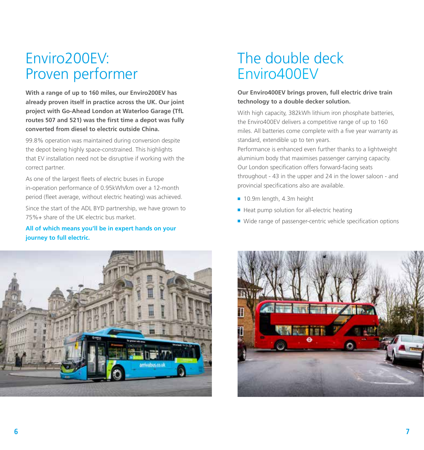## Enviro200EV: Proven performer

**With a range of up to 160 miles, our Enviro200EV has already proven itself in practice across the UK. Our joint project with Go-Ahead London at Waterloo Garage (TfL routes 507 and 521) was the first time a depot was fully converted from diesel to electric outside China.**

99.8% operation was maintained during conversion despite the depot being highly space-constrained. This highlights that EV installation need not be disruptive if working with the correct partner.

As one of the largest fleets of electric buses in Europe in-operation performance of 0.95kWh/km over a 12-month period (fleet average, without electric heating) was achieved.

Since the start of the ADL BYD partnership, we have grown to 75%+ share of the UK electric bus market.

#### **All of which means you'll be in expert hands on your journey to full electric.**



## The double deck Enviro400EV

#### **Our Enviro400EV brings proven, full electric drive train technology to a double decker solution.**

With high capacity, 382kWh lithium iron phosphate batteries, the Enviro400EV delivers a competitive range of up to 160 miles. All batteries come complete with a five year warranty as standard, extendible up to ten years.

Performance is enhanced even further thanks to a lightweight aluminium body that maximises passenger carrying capacity. Our London specification offers forward-facing seats throughout - 43 in the upper and 24 in the lower saloon - and provincial specifications also are available.

- 10.9m length, 4.3m height
- Heat pump solution for all-electric heating
- Wide range of passenger-centric vehicle specification options